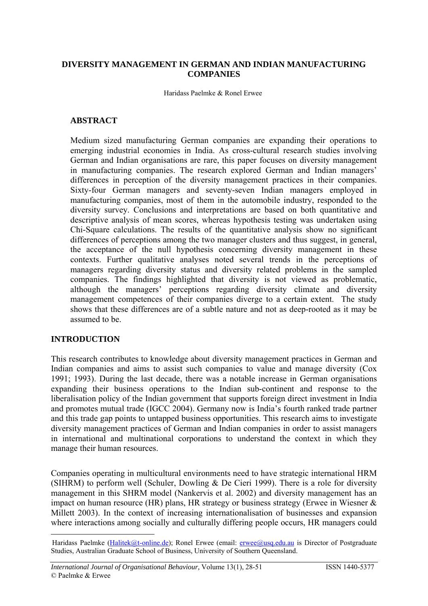### **DIVERSITY MANAGEMENT IN GERMAN AND INDIAN MANUFACTURING COMPANIES**

Haridass Paelmke & Ronel Erwee

### **ABSTRACT**

Medium sized manufacturing German companies are expanding their operations to emerging industrial economies in India. As cross-cultural research studies involving German and Indian organisations are rare, this paper focuses on diversity management in manufacturing companies. The research explored German and Indian managers' differences in perception of the diversity management practices in their companies. Sixty-four German managers and seventy-seven Indian managers employed in manufacturing companies, most of them in the automobile industry, responded to the diversity survey. Conclusions and interpretations are based on both quantitative and descriptive analysis of mean scores, whereas hypothesis testing was undertaken using Chi-Square calculations. The results of the quantitative analysis show no significant differences of perceptions among the two manager clusters and thus suggest, in general, the acceptance of the null hypothesis concerning diversity management in these contexts. Further qualitative analyses noted several trends in the perceptions of managers regarding diversity status and diversity related problems in the sampled companies. The findings highlighted that diversity is not viewed as problematic, although the managers' perceptions regarding diversity climate and diversity management competences of their companies diverge to a certain extent. The study shows that these differences are of a subtle nature and not as deep-rooted as it may be assumed to be.

# **INTRODUCTION**

1

This research contributes to knowledge about diversity management practices in German and Indian companies and aims to assist such companies to value and manage diversity (Cox 1991; 1993). During the last decade, there was a notable increase in German organisations expanding their business operations to the Indian sub-continent and response to the liberalisation policy of the Indian government that supports foreign direct investment in India and promotes mutual trade (IGCC 2004). Germany now is India's fourth ranked trade partner and this trade gap points to untapped business opportunities. This research aims to investigate diversity management practices of German and Indian companies in order to assist managers in international and multinational corporations to understand the context in which they manage their human resources.

Companies operating in multicultural environments need to have strategic international HRM (SIHRM) to perform well (Schuler, Dowling & De Cieri 1999). There is a role for diversity management in this SHRM model (Nankervis et al. 2002) and diversity management has an impact on human resource (HR) plans, HR strategy or business strategy (Erwee in Wiesner & Millett 2003). In the context of increasing internationalisation of businesses and expansion where interactions among socially and culturally differing people occurs, HR managers could

Haridass Paelmke ([Halitek@t-online.de\)](mailto:Halitek@t-online.de); Ronel Erwee (email: [erwee@usq.edu.au](mailto:erwee@usq.edu.au) is Director of Postgraduate Studies, Australian Graduate School of Business, University of Southern Queensland.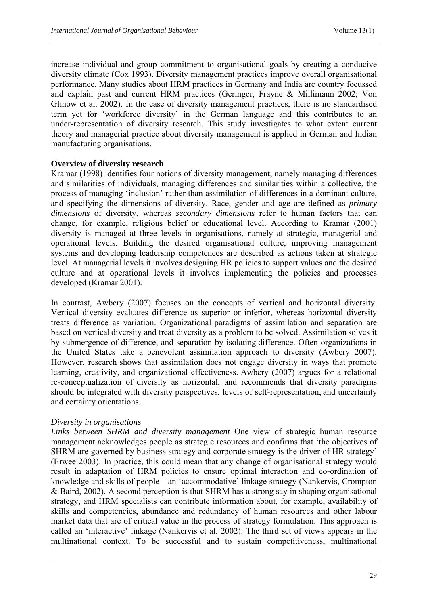increase individual and group commitment to organisational goals by creating a conducive diversity climate (Cox 1993). Diversity management practices improve overall organisational performance. Many studies about HRM practices in Germany and India are country focussed and explain past and current HRM practices (Geringer, Frayne & Millimann 2002; Von Glinow et al. 2002). In the case of diversity management practices, there is no standardised term yet for 'workforce diversity' in the German language and this contributes to an under-representation of diversity research. This study investigates to what extent current theory and managerial practice about diversity management is applied in German and Indian manufacturing organisations.

### **Overview of diversity research**

Kramar (1998) identifies four notions of diversity management, namely managing differences and similarities of individuals, managing differences and similarities within a collective, the process of managing 'inclusion' rather than assimilation of differences in a dominant culture, and specifying the dimensions of diversity. Race, gender and age are defined as *primary dimensions* of diversity, whereas *secondary dimensions* refer to human factors that can change, for example, religious belief or educational level. According to Kramar (2001) diversity is managed at three levels in organisations, namely at strategic, managerial and operational levels. Building the desired organisational culture, improving management systems and developing leadership competences are described as actions taken at strategic level. At managerial levels it involves designing HR policies to support values and the desired culture and at operational levels it involves implementing the policies and processes developed (Kramar 2001).

In contrast, Awbery (2007) focuses on the concepts of vertical and horizontal diversity. Vertical diversity evaluates difference as superior or inferior, whereas horizontal diversity treats difference as variation. Organizational paradigms of assimilation and separation are based on vertical diversity and treat diversity as a problem to be solved. Assimilation solves it by submergence of difference, and separation by isolating difference. Often organizations in the United States take a benevolent assimilation approach to diversity (Awbery 2007). However, research shows that assimilation does not engage diversity in ways that promote learning, creativity, and organizational effectiveness. Awbery (2007) argues for a relational re-conceptualization of diversity as horizontal, and recommends that diversity paradigms should be integrated with diversity perspectives, levels of self-representation, and uncertainty and certainty orientations.

# *Diversity in organisations*

*Links between SHRM and diversity management* One view of strategic human resource management acknowledges people as strategic resources and confirms that 'the objectives of SHRM are governed by business strategy and corporate strategy is the driver of HR strategy' (Erwee 2003). In practice, this could mean that any change of organisational strategy would result in adaptation of HRM policies to ensure optimal interaction and co-ordination of knowledge and skills of people—an 'accommodative' linkage strategy (Nankervis, Crompton & Baird, 2002). A second perception is that SHRM has a strong say in shaping organisational strategy, and HRM specialists can contribute information about, for example, availability of skills and competencies, abundance and redundancy of human resources and other labour market data that are of critical value in the process of strategy formulation. This approach is called an 'interactive' linkage (Nankervis et al. 2002). The third set of views appears in the multinational context. To be successful and to sustain competitiveness, multinational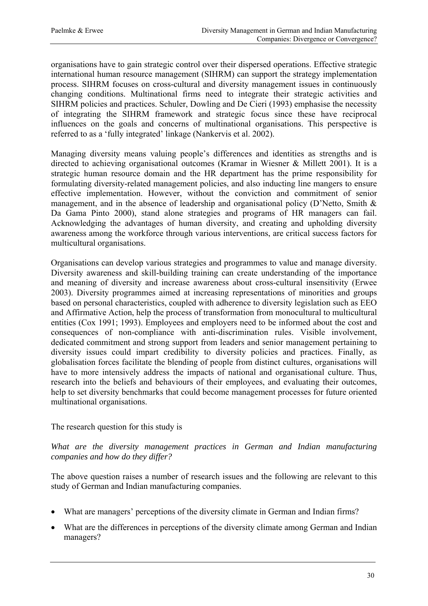organisations have to gain strategic control over their dispersed operations. Effective strategic international human resource management (SIHRM) can support the strategy implementation process. SIHRM focuses on cross-cultural and diversity management issues in continuously changing conditions. Multinational firms need to integrate their strategic activities and SIHRM policies and practices. Schuler, Dowling and De Cieri (1993) emphasise the necessity of integrating the SIHRM framework and strategic focus since these have reciprocal influences on the goals and concerns of multinational organisations. This perspective is referred to as a 'fully integrated' linkage (Nankervis et al. 2002).

Managing diversity means valuing people's differences and identities as strengths and is directed to achieving organisational outcomes (Kramar in Wiesner & Millett 2001). It is a strategic human resource domain and the HR department has the prime responsibility for formulating diversity-related management policies, and also inducting line mangers to ensure effective implementation. However, without the conviction and commitment of senior management, and in the absence of leadership and organisational policy (D'Netto, Smith & Da Gama Pinto 2000), stand alone strategies and programs of HR managers can fail. Acknowledging the advantages of human diversity, and creating and upholding diversity awareness among the workforce through various interventions, are critical success factors for multicultural organisations.

Organisations can develop various strategies and programmes to value and manage diversity. Diversity awareness and skill-building training can create understanding of the importance and meaning of diversity and increase awareness about cross-cultural insensitivity (Erwee 2003). Diversity programmes aimed at increasing representations of minorities and groups based on personal characteristics, coupled with adherence to diversity legislation such as EEO and Affirmative Action, help the process of transformation from monocultural to multicultural entities (Cox 1991; 1993). Employees and employers need to be informed about the cost and consequences of non-compliance with anti-discrimination rules. Visible involvement, dedicated commitment and strong support from leaders and senior management pertaining to diversity issues could impart credibility to diversity policies and practices. Finally, as globalisation forces facilitate the blending of people from distinct cultures, organisations will have to more intensively address the impacts of national and organisational culture. Thus, research into the beliefs and behaviours of their employees, and evaluating their outcomes, help to set diversity benchmarks that could become management processes for future oriented multinational organisations.

### The research question for this study is

### *What are the diversity management practices in German and Indian manufacturing companies and how do they differ?*

The above question raises a number of research issues and the following are relevant to this study of German and Indian manufacturing companies.

- What are managers' perceptions of the diversity climate in German and Indian firms?
- What are the differences in perceptions of the diversity climate among German and Indian managers?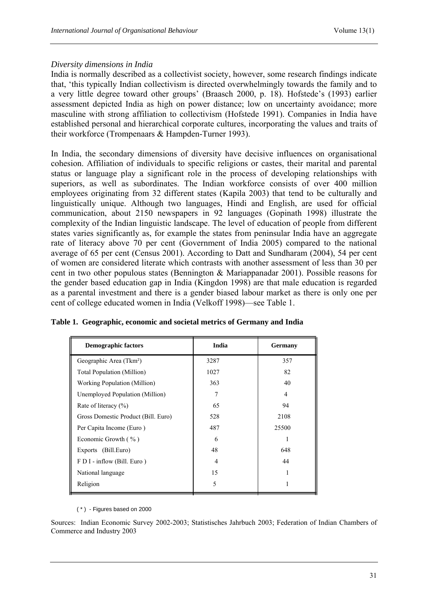### *Diversity dimensions in India*

India is normally described as a collectivist society, however, some research findings indicate that, 'this typically Indian collectivism is directed overwhelmingly towards the family and to a very little degree toward other groups' (Braasch 2000, p. 18). Hofstede's (1993) earlier assessment depicted India as high on power distance; low on uncertainty avoidance; more masculine with strong affiliation to collectivism (Hofstede 1991). Companies in India have established personal and hierarchical corporate cultures, incorporating the values and traits of their workforce (Trompenaars & Hampden-Turner 1993).

In India, the secondary dimensions of diversity have decisive influences on organisational cohesion. Affiliation of individuals to specific religions or castes, their marital and parental status or language play a significant role in the process of developing relationships with superiors, as well as subordinates. The Indian workforce consists of over 400 million employees originating from 32 different states (Kapila 2003) that tend to be culturally and linguistically unique. Although two languages, Hindi and English, are used for official communication, about 2150 newspapers in 92 languages (Gopinath 1998) illustrate the complexity of the Indian linguistic landscape. The level of education of people from different states varies significantly as, for example the states from peninsular India have an aggregate rate of literacy above 70 per cent (Government of India 2005) compared to the national average of 65 per cent (Census 2001). According to Datt and Sundharam (2004), 54 per cent of women are considered literate which contrasts with another assessment of less than 30 per cent in two other populous states (Bennington & Mariappanadar 2001). Possible reasons for the gender based education gap in India (Kingdon 1998) are that male education is regarded as a parental investment and there is a gender biased labour market as there is only one per cent of college educated women in India (Velkoff 1998)—see Table 1.

| <b>Demographic factors</b>          | India | Germany |
|-------------------------------------|-------|---------|
| Geographic Area (Tkm <sup>2</sup> ) | 3287  | 357     |
| <b>Total Population (Million)</b>   | 1027  | 82      |
| Working Population (Million)        | 363   | 40      |
| Unemployed Population (Million)     | 7     | 4       |
| Rate of literacy $(\% )$            | 65    | 94      |
| Gross Domestic Product (Bill. Euro) | 528   | 2108    |
| Per Capita Income (Euro)            | 487   | 25500   |
| Economic Growth $(\% )$             | 6     |         |
| Exports (Bill.Euro)                 | 48    | 648     |
| F D I - inflow (Bill. Euro)         | 4     | 44      |
| National language                   | 15    |         |
| Religion                            | 5     |         |

**Table 1. Geographic, economic and societal metrics of Germany and India** 

( \* ) - Figures based on 2000

Sources: Indian Economic Survey 2002-2003; Statistisches Jahrbuch 2003; Federation of Indian Chambers of Commerce and Industry 2003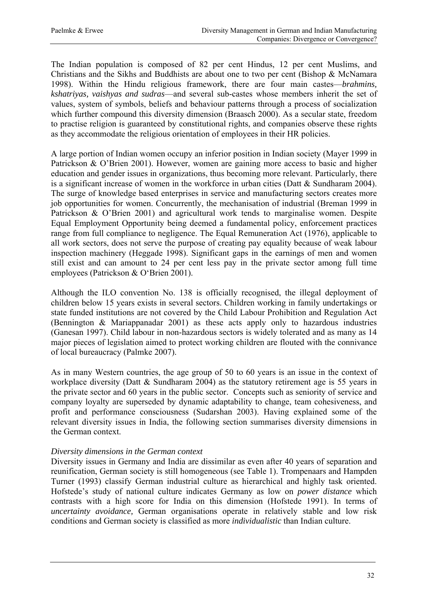The Indian population is composed of 82 per cent Hindus, 12 per cent Muslims, and Christians and the Sikhs and Buddhists are about one to two per cent (Bishop & McNamara 1998). Within the Hindu religious framework, there are four main castes—*brahmins, kshatriyas, vaishyas and sudras*—and several sub-castes whose members inherit the set of values, system of symbols, beliefs and behaviour patterns through a process of socialization which further compound this diversity dimension (Braasch 2000). As a secular state, freedom to practise religion is guaranteed by constitutional rights, and companies observe these rights as they accommodate the religious orientation of employees in their HR policies.

A large portion of Indian women occupy an inferior position in Indian society (Mayer 1999 in Patrickson & O'Brien 2001). However, women are gaining more access to basic and higher education and gender issues in organizations, thus becoming more relevant. Particularly, there is a significant increase of women in the workforce in urban cities (Datt & Sundharam 2004). The surge of knowledge based enterprises in service and manufacturing sectors creates more job opportunities for women. Concurrently, the mechanisation of industrial (Breman 1999 in Patrickson & O'Brien 2001) and agricultural work tends to marginalise women. Despite Equal Employment Opportunity being deemed a fundamental policy, enforcement practices range from full compliance to negligence. The Equal Remuneration Act (1976), applicable to all work sectors, does not serve the purpose of creating pay equality because of weak labour inspection machinery (Heggade 1998). Significant gaps in the earnings of men and women still exist and can amount to 24 per cent less pay in the private sector among full time employees (Patrickson & O'Brien 2001).

Although the ILO convention No. 138 is officially recognised, the illegal deployment of children below 15 years exists in several sectors. Children working in family undertakings or state funded institutions are not covered by the Child Labour Prohibition and Regulation Act (Bennington & Mariappanadar 2001) as these acts apply only to hazardous industries (Ganesan 1997). Child labour in non-hazardous sectors is widely tolerated and as many as 14 major pieces of legislation aimed to protect working children are flouted with the connivance of local bureaucracy (Palmke 2007).

As in many Western countries, the age group of 50 to 60 years is an issue in the context of workplace diversity (Datt & Sundharam 2004) as the statutory retirement age is 55 years in the private sector and 60 years in the public sector. Concepts such as seniority of service and company loyalty are superseded by dynamic adaptability to change, team cohesiveness, and profit and performance consciousness (Sudarshan 2003). Having explained some of the relevant diversity issues in India, the following section summarises diversity dimensions in the German context.

### *Diversity dimensions in the German context*

Diversity issues in Germany and India are dissimilar as even after 40 years of separation and reunification, German society is still homogeneous (see Table 1). Trompenaars and Hampden Turner (1993) classify German industrial culture as hierarchical and highly task oriented. Hofstede's study of national culture indicates Germany as low on *power distance* which contrasts with a high score for India on this dimension (Hofstede 1991). In terms of *uncertainty avoidance,* German organisations operate in relatively stable and low risk conditions and German society is classified as more *individualistic* than Indian culture.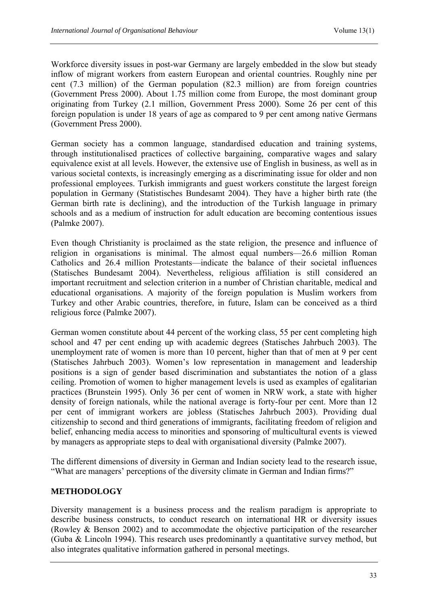Workforce diversity issues in post-war Germany are largely embedded in the slow but steady inflow of migrant workers from eastern European and oriental countries. Roughly nine per cent (7.3 million) of the German population (82.3 million) are from foreign countries (Government Press 2000). About 1.75 million come from Europe, the most dominant group originating from Turkey (2.1 million, Government Press 2000). Some 26 per cent of this foreign population is under 18 years of age as compared to 9 per cent among native Germans (Government Press 2000).

German society has a common language, standardised education and training systems, through institutionalised practices of collective bargaining, comparative wages and salary equivalence exist at all levels. However, the extensive use of English in business, as well as in various societal contexts, is increasingly emerging as a discriminating issue for older and non professional employees. Turkish immigrants and guest workers constitute the largest foreign population in Germany (Statistisches Bundesamt 2004). They have a higher birth rate (the German birth rate is declining), and the introduction of the Turkish language in primary schools and as a medium of instruction for adult education are becoming contentious issues (Palmke 2007).

Even though Christianity is proclaimed as the state religion, the presence and influence of religion in organisations is minimal. The almost equal numbers—26.6 million Roman Catholics and 26.4 million Protestants—indicate the balance of their societal influences (Statisches Bundesamt 2004). Nevertheless, religious affiliation is still considered an important recruitment and selection criterion in a number of Christian charitable, medical and educational organisations. A majority of the foreign population is Muslim workers from Turkey and other Arabic countries, therefore, in future, Islam can be conceived as a third religious force (Palmke 2007).

German women constitute about 44 percent of the working class, 55 per cent completing high school and 47 per cent ending up with academic degrees (Statisches Jahrbuch 2003). The unemployment rate of women is more than 10 percent, higher than that of men at 9 per cent (Statisches Jahrbuch 2003). Women's low representation in management and leadership positions is a sign of gender based discrimination and substantiates the notion of a glass ceiling. Promotion of women to higher management levels is used as examples of egalitarian practices (Brunstein 1995). Only 36 per cent of women in NRW work, a state with higher density of foreign nationals, while the national average is forty-four per cent. More than 12 per cent of immigrant workers are jobless (Statisches Jahrbuch 2003). Providing dual citizenship to second and third generations of immigrants, facilitating freedom of religion and belief, enhancing media access to minorities and sponsoring of multicultural events is viewed by managers as appropriate steps to deal with organisational diversity (Palmke 2007).

The different dimensions of diversity in German and Indian society lead to the research issue, "What are managers' perceptions of the diversity climate in German and Indian firms?"

# **METHODOLOGY**

Diversity management is a business process and the realism paradigm is appropriate to describe business constructs, to conduct research on international HR or diversity issues (Rowley & Benson 2002) and to accommodate the objective participation of the researcher (Guba & Lincoln 1994). This research uses predominantly a quantitative survey method, but also integrates qualitative information gathered in personal meetings.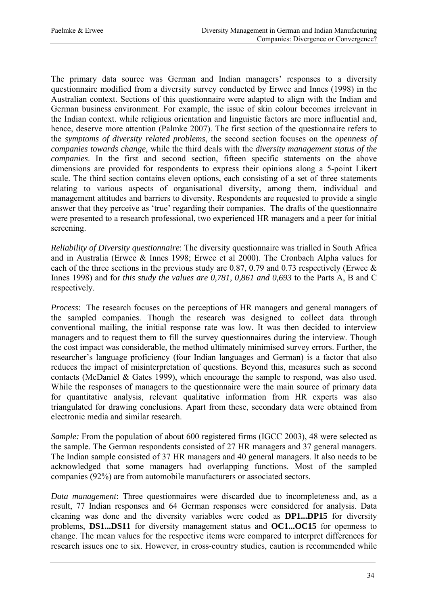The primary data source was German and Indian managers' responses to a diversity questionnaire modified from a diversity survey conducted by Erwee and Innes (1998) in the Australian context. Sections of this questionnaire were adapted to align with the Indian and German business environment. For example, the issue of skin colour becomes irrelevant in the Indian context. while religious orientation and linguistic factors are more influential and, hence, deserve more attention (Palmke 2007). The first section of the questionnaire refers to the *symptoms of diversity related problems*, the second section focuses on the *openness of companies towards change,* while the third deals with the *diversity management status of the companies*. In the first and second section, fifteen specific statements on the above dimensions are provided for respondents to express their opinions along a 5-point Likert scale. The third section contains eleven options, each consisting of a set of three statements relating to various aspects of organisational diversity, among them, individual and management attitudes and barriers to diversity. Respondents are requested to provide a single answer that they perceive as 'true' regarding their companies. The drafts of the questionnaire were presented to a research professional, two experienced HR managers and a peer for initial screening.

*Reliability of Diversity questionnaire*: The diversity questionnaire was trialled in South Africa and in Australia (Erwee & Innes 1998; Erwee et al 2000). The Cronbach Alpha values for each of the three sections in the previous study are 0.87, 0.79 and 0.73 respectively (Erwee & Innes 1998) and for *this study the values are 0,781, 0,861 and 0,693* to the Parts A, B and C respectively.

*Process*: The research focuses on the perceptions of HR managers and general managers of the sampled companies. Though the research was designed to collect data through conventional mailing, the initial response rate was low. It was then decided to interview managers and to request them to fill the survey questionnaires during the interview. Though the cost impact was considerable, the method ultimately minimised survey errors. Further, the researcher's language proficiency (four Indian languages and German) is a factor that also reduces the impact of misinterpretation of questions. Beyond this, measures such as second contacts (McDaniel & Gates 1999), which encourage the sample to respond, was also used. While the responses of managers to the questionnaire were the main source of primary data for quantitative analysis, relevant qualitative information from HR experts was also triangulated for drawing conclusions. Apart from these, secondary data were obtained from electronic media and similar research.

*Sample:* From the population of about 600 registered firms (IGCC 2003), 48 were selected as the sample. The German respondents consisted of 27 HR managers and 37 general managers. The Indian sample consisted of 37 HR managers and 40 general managers. It also needs to be acknowledged that some managers had overlapping functions. Most of the sampled companies (92%) are from automobile manufacturers or associated sectors.

*Data management*: Three questionnaires were discarded due to incompleteness and, as a result, 77 Indian responses and 64 German responses were considered for analysis. Data cleaning was done and the diversity variables were coded as **DP1...DP15** for diversity problems, **DS1...DS11** for diversity management status and **OC1...OC15** for openness to change. The mean values for the respective items were compared to interpret differences for research issues one to six. However, in cross-country studies, caution is recommended while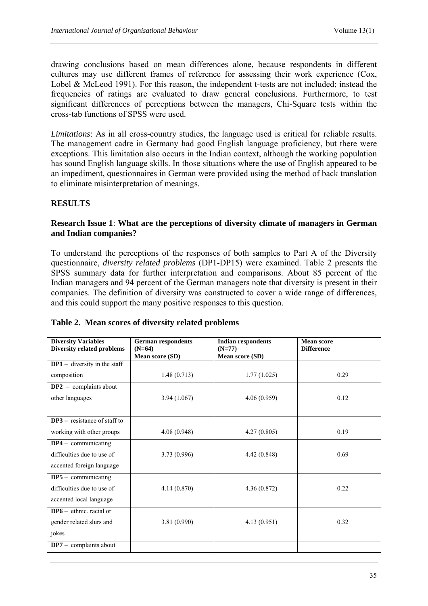drawing conclusions based on mean differences alone, because respondents in different cultures may use different frames of reference for assessing their work experience (Cox, Lobel & McLeod 1991). For this reason, the independent t-tests are not included; instead the frequencies of ratings are evaluated to draw general conclusions. Furthermore, to test significant differences of perceptions between the managers, Chi-Square tests within the cross-tab functions of SPSS were used.

*Limitations*: As in all cross-country studies, the language used is critical for reliable results. The management cadre in Germany had good English language proficiency, but there were exceptions. This limitation also occurs in the Indian context, although the working population has sound English language skills. In those situations where the use of English appeared to be an impediment, questionnaires in German were provided using the method of back translation to eliminate misinterpretation of meanings.

# **RESULTS**

### **Research Issue 1**: **What are the perceptions of diversity climate of managers in German and Indian companies?**

To understand the perceptions of the responses of both samples to Part A of the Diversity questionnaire, *diversity related problems* (DP1-DP15) were examined. Table 2 presents the SPSS summary data for further interpretation and comparisons. About 85 percent of the Indian managers and 94 percent of the German managers note that diversity is present in their companies. The definition of diversity was constructed to cover a wide range of differences, and this could support the many positive responses to this question.

| <b>Diversity Variables</b><br>Diversity related problems | <b>German respondents</b><br><b>Indian respondents</b><br>$(N=64)$<br>$(N=77)$ |                 | <b>Mean score</b><br><b>Difference</b> |  |  |
|----------------------------------------------------------|--------------------------------------------------------------------------------|-----------------|----------------------------------------|--|--|
|                                                          | <b>Mean score (SD)</b>                                                         | Mean score (SD) |                                        |  |  |
| $DP1 -$ diversity in the staff                           |                                                                                |                 |                                        |  |  |
| composition                                              | 1.48(0.713)                                                                    | 1.77(1.025)     | 0.29                                   |  |  |
| $DP2 - complants$ about                                  |                                                                                |                 |                                        |  |  |
| other languages                                          | 3.94(1.067)                                                                    | 4.06(0.959)     | 0.12                                   |  |  |
|                                                          |                                                                                |                 |                                        |  |  |
| $DP3$ – resistance of staff to                           |                                                                                |                 |                                        |  |  |
| working with other groups                                | 4.08(0.948)                                                                    | 4.27(0.805)     | 0.19                                   |  |  |
| $DP4 - \text{ communicating}$                            |                                                                                |                 |                                        |  |  |
| difficulties due to use of                               | 3.73(0.996)                                                                    | 4.42(0.848)     | 0.69                                   |  |  |
| accented foreign language                                |                                                                                |                 |                                        |  |  |
| $DP5 - \text{ communicating}$                            |                                                                                |                 |                                        |  |  |
| difficulties due to use of                               | 4.14(0.870)                                                                    | 4.36(0.872)     | 0.22                                   |  |  |
| accented local language                                  |                                                                                |                 |                                        |  |  |
| $DP6 -$ ethnic, racial or                                |                                                                                |                 |                                        |  |  |
| gender related slurs and                                 | 3.81(0.990)                                                                    | 4.13(0.951)     | 0.32                                   |  |  |
| jokes                                                    |                                                                                |                 |                                        |  |  |
| $DP7 -$ complaints about                                 |                                                                                |                 |                                        |  |  |

# **Table 2. Mean scores of diversity related problems**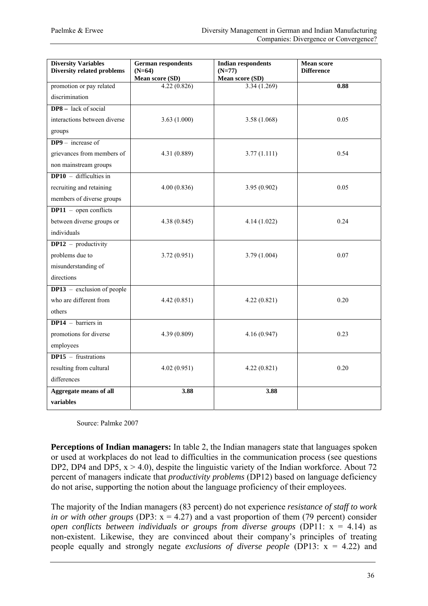| <b>Diversity Variables</b><br><b>Diversity related problems</b> | <b>German respondents</b><br><b>Indian respondents</b><br>$(N=64)$<br>$(N=77)$ |                 | <b>Mean score</b><br><b>Difference</b> |
|-----------------------------------------------------------------|--------------------------------------------------------------------------------|-----------------|----------------------------------------|
|                                                                 | Mean score (SD)                                                                | Mean score (SD) |                                        |
| promotion or pay related                                        | 4.22(0.826)                                                                    | 3.34(1.269)     | 0.88                                   |
| discrimination                                                  |                                                                                |                 |                                        |
| <b>DP8</b> – lack of social                                     |                                                                                |                 |                                        |
| interactions between diverse                                    | 3.63(1.000)                                                                    | 3.58(1.068)     | 0.05                                   |
| groups                                                          |                                                                                |                 |                                        |
| $DP9 - increase of$                                             |                                                                                |                 |                                        |
| grievances from members of                                      | 4.31 (0.889)                                                                   | 3.77(1.111)     | 0.54                                   |
| non mainstream groups                                           |                                                                                |                 |                                        |
| $DP10 -$ difficulties in                                        |                                                                                |                 |                                        |
| recruiting and retaining                                        | 4.00(0.836)                                                                    | 3.95(0.902)     | 0.05                                   |
| members of diverse groups                                       |                                                                                |                 |                                        |
| $DP11$ – open conflicts                                         |                                                                                |                 |                                        |
| between diverse groups or                                       | 4.38(0.845)                                                                    | 4.14(1.022)     | 0.24                                   |
| individuals                                                     |                                                                                |                 |                                        |
| $DP12$ – productivity                                           |                                                                                |                 |                                        |
| problems due to                                                 | 3.72(0.951)                                                                    | 3.79(1.004)     | 0.07                                   |
| misunderstanding of                                             |                                                                                |                 |                                        |
| directions                                                      |                                                                                |                 |                                        |
| $DP13$ – exclusion of people                                    |                                                                                |                 |                                        |
| who are different from                                          | 4.42(0.851)                                                                    | 4.22(0.821)     | 0.20                                   |
| others                                                          |                                                                                |                 |                                        |
| $DP14 - barriers$ in                                            |                                                                                |                 |                                        |
| promotions for diverse                                          | 4.39 (0.809)                                                                   | 4.16(0.947)     | 0.23                                   |
| employees                                                       |                                                                                |                 |                                        |
| $DP15 -$ frustrations                                           |                                                                                |                 |                                        |
| resulting from cultural                                         | 4.02(0.951)                                                                    | 4.22(0.821)     | 0.20                                   |
| differences                                                     |                                                                                |                 |                                        |
| Aggregate means of all                                          | 3.88                                                                           | 3.88            |                                        |
| variables                                                       |                                                                                |                 |                                        |

Source: Palmke 2007

**Perceptions of Indian managers:** In table 2, the Indian managers state that languages spoken or used at workplaces do not lead to difficulties in the communication process (see questions DP2, DP4 and DP5,  $x > 4.0$ ), despite the linguistic variety of the Indian workforce. About 72 percent of managers indicate that *productivity problems* (DP12) based on language deficiency do not arise, supporting the notion about the language proficiency of their employees.

The majority of the Indian managers (83 percent) do not experience *resistance of staff to work in or with other groups* (DP3:  $x = 4.27$ ) and a vast proportion of them (79 percent) consider *open conflicts between individuals or groups from diverse groups* (DP11: x = 4.14) as non-existent. Likewise, they are convinced about their company's principles of treating people equally and strongly negate *exclusions of diverse people* (DP13: x = 4.22) and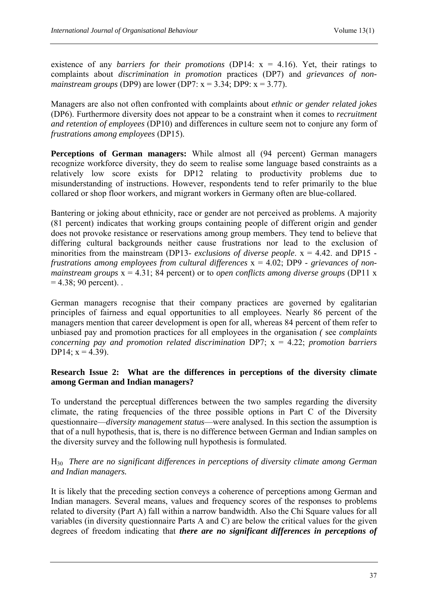existence of any *barriers for their promotions* (DP14: x = 4.16). Yet, their ratings to complaints about *discrimination in promotion* practices (DP7) and *grievances of nonmainstream groups* (DP9) are lower (DP7:  $x = 3.34$ ; DP9:  $x = 3.77$ ).

Managers are also not often confronted with complaints about *ethnic or gender related jokes* (DP6). Furthermore diversity does not appear to be a constraint when it comes to *recruitment and retention of employees* (DP10) and differences in culture seem not to conjure any form of *frustrations among employees* (DP15).

**Perceptions of German managers:** While almost all (94 percent) German managers recognize workforce diversity, they do seem to realise some language based constraints as a relatively low score exists for DP12 relating to productivity problems due to misunderstanding of instructions. However, respondents tend to refer primarily to the blue collared or shop floor workers, and migrant workers in Germany often are blue-collared.

Bantering or joking about ethnicity, race or gender are not perceived as problems. A majority (81 percent) indicates that working groups containing people of different origin and gender does not provoke resistance or reservations among group members. They tend to believe that differing cultural backgrounds neither cause frustrations nor lead to the exclusion of minorities from the mainstream (DP13- *exclusions of diverse people*. x = 4.42. and DP15 *frustrations among employees from cultural differences* x = 4.02; DP9 - *grievances of nonmainstream groups* x = 4.31; 84 percent) or to *open conflicts among diverse groups* (DP11 x  $= 4.38$ ; 90 percent).

German managers recognise that their company practices are governed by egalitarian principles of fairness and equal opportunities to all employees. Nearly 86 percent of the managers mention that career development is open for all, whereas 84 percent of them refer to unbiased pay and promotion practices for all employees in the organisation *(* see *complaints concerning pay and promotion related discrimination* DP7; x = 4.22; *promotion barriers* DP14;  $x = 4.39$ ).

# **Research Issue 2: What are the differences in perceptions of the diversity climate among German and Indian managers?**

To understand the perceptual differences between the two samples regarding the diversity climate, the rating frequencies of the three possible options in Part C of the Diversity questionnaire—*diversity management status*—were analysed. In this section the assumption is that of a null hypothesis, that is, there is no difference between German and Indian samples on the diversity survey and the following null hypothesis is formulated.

# H30 *There are no significant differences in perceptions of diversity climate among German and Indian managers.*

It is likely that the preceding section conveys a coherence of perceptions among German and Indian managers. Several means, values and frequency scores of the responses to problems related to diversity (Part A) fall within a narrow bandwidth. Also the Chi Square values for all variables (in diversity questionnaire Parts A and C) are below the critical values for the given degrees of freedom indicating that *there are no significant differences in perceptions of*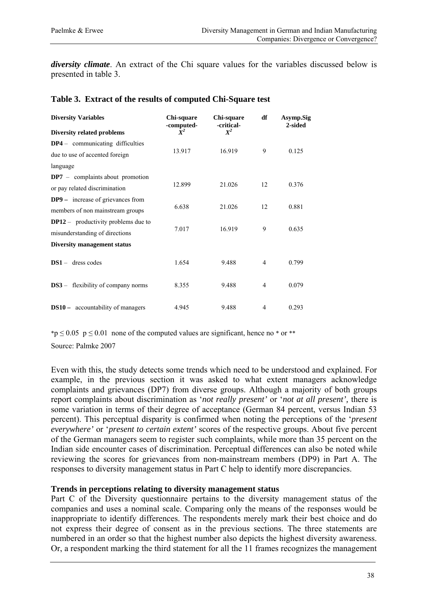*diversity climate*. An extract of the Chi square values for the variables discussed below is presented in table 3.

|  | Table 3. Extract of the results of computed Chi-Square test |  |  |  |  |  |  |  |
|--|-------------------------------------------------------------|--|--|--|--|--|--|--|
|--|-------------------------------------------------------------|--|--|--|--|--|--|--|

| <b>Diversity Variables</b>                                                   | Chi-square<br>-computed- | Chi-square<br>-critical- | df             | Asymp.Sig<br>2-sided |
|------------------------------------------------------------------------------|--------------------------|--------------------------|----------------|----------------------|
| <b>Diversity related problems</b>                                            | $X^2$                    | $X^2$                    |                |                      |
| <b>DP4</b> – communicating difficulties                                      |                          |                          |                |                      |
| due to use of accented foreign                                               | 13.917                   | 16.919                   | 9              | 0.125                |
| language                                                                     |                          |                          |                |                      |
| $DP7$ – complaints about promotion<br>or pay related discrimination          | 12.899                   | 21.026                   | 12             | 0.376                |
| <b>DP9</b> – increase of grievances from<br>members of non mainstream groups | 6.638                    | 21.026                   | 12             | 0.881                |
| $DP12$ – productivity problems due to<br>misunderstanding of directions      | 7.017                    | 16.919                   | 9              | 0.635                |
| Diversity management status                                                  |                          |                          |                |                      |
| $DS1 -$ dress codes                                                          | 1.654                    | 9.488                    | $\overline{4}$ | 0.799                |
| <b>DS3</b> – flexibility of company norms                                    | 8.355                    | 9.488                    | $\overline{4}$ | 0.079                |
| <b>DS10</b> – accountability of managers                                     | 4.945                    | 9.488                    | $\overline{4}$ | 0.293                |

\*p  $\leq$  0.05 p  $\leq$  0.01 none of the computed values are significant, hence no \* or \*\* Source: Palmke 2007

Even with this, the study detects some trends which need to be understood and explained. For example, in the previous section it was asked to what extent managers acknowledge complaints and grievances (DP7) from diverse groups. Although a majority of both groups report complaints about discrimination as '*not really present'* or '*not at all present',* there is some variation in terms of their degree of acceptance (German 84 percent, versus Indian 53 percent). This perceptual disparity is confirmed when noting the perceptions of the '*present everywhere'* or '*present to certain extent'* scores of the respective groups. About five percent of the German managers seem to register such complaints, while more than 35 percent on the Indian side encounter cases of discrimination. Perceptual differences can also be noted while reviewing the scores for grievances from non-mainstream members (DP9) in Part A. The responses to diversity management status in Part C help to identify more discrepancies.

### **Trends in perceptions relating to diversity management status**

Part C of the Diversity questionnaire pertains to the diversity management status of the companies and uses a nominal scale. Comparing only the means of the responses would be inappropriate to identify differences. The respondents merely mark their best choice and do not express their degree of consent as in the previous sections. The three statements are numbered in an order so that the highest number also depicts the highest diversity awareness. Or, a respondent marking the third statement for all the 11 frames recognizes the management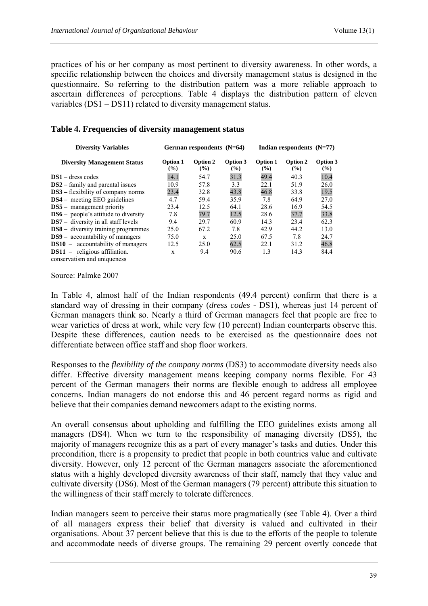practices of his or her company as most pertinent to diversity awareness. In other words, a specific relationship between the choices and diversity management status is designed in the questionnaire. So referring to the distribution pattern was a more reliable approach to ascertain differences of perceptions. Table 4 displays the distribution pattern of eleven variables (DS1 – DS11) related to diversity management status.

### **Table 4. Frequencies of diversity management status**

| <b>Diversity Variables</b>                 |                           | German respondents (N=64) |                           | Indian respondents $(N=77)$ |                 |                    |  |
|--------------------------------------------|---------------------------|---------------------------|---------------------------|-----------------------------|-----------------|--------------------|--|
| <b>Diversity Management Status</b>         | Option 1<br>$\frac{9}{6}$ | Option 2<br>(%)           | Option 3<br>$\frac{9}{6}$ | Option 1<br>(%)             | Option 2<br>(%) | Option 3<br>$($ %) |  |
| $DS1 -$ dress codes                        | 14.1                      | 54.7                      | 31.3                      | 49.4                        | 40.3            | 10.4               |  |
| $DS2 - family$ and parental issues         | 10.9                      | 57.8                      | 3.3                       | 22.1                        | 51.9            | 26.0               |  |
| <b>DS3</b> – flexibility of company norms  | 23.4                      | 32.8                      | 43.8                      | 46.8                        | 33.8            | 19.5               |  |
| <b>DS4</b> – meeting EEO guidelines        | 4.7                       | 59.4                      | 35.9                      | 7.8                         | 64.9            | 27.0               |  |
| $DS5$ – management priority                | 23.4                      | 12.5                      | 64.1                      | 28.6                        | 16.9            | 54.5               |  |
| $DS6$ – people's attitude to diversity     | 7.8                       | 79.7                      | 12.5                      | 28.6                        | 37.7            | 33.8               |  |
| $DS7 -$ diversity in all staff levels      | 9.4                       | 29.7                      | 60.9                      | 14.3                        | 23.4            | 62.3               |  |
| <b>DS8</b> – diversity training programmes | 25.0                      | 67.2                      | 7.8                       | 42.9                        | 44.2            | 13.0               |  |
| $DS9$ – accountability of managers         | 75.0                      | X                         | 25.0                      | 67.5                        | 7.8             | 24.7               |  |
| $DS10 -$ accountability of managers        | 12.5                      | 25.0                      | 62.5                      | 22.1                        | 31.2            | 46.8               |  |
| $DS11$ – religious affiliation.            | X                         | 9.4                       | 90.6                      | 1.3                         | 14.3            | 84.4               |  |
| conservatism and uniqueness                |                           |                           |                           |                             |                 |                    |  |

Source: Palmke 2007

In Table 4, almost half of the Indian respondents (49.4 percent) confirm that there is a standard way of dressing in their company (*dress codes* - DS1), whereas just 14 percent of German managers think so. Nearly a third of German managers feel that people are free to wear varieties of dress at work, while very few (10 percent) Indian counterparts observe this. Despite these differences, caution needs to be exercised as the questionnaire does not differentiate between office staff and shop floor workers.

Responses to the *flexibility of the company norms* (DS3) to accommodate diversity needs also differ. Effective diversity management means keeping company norms flexible. For 43 percent of the German managers their norms are flexible enough to address all employee concerns. Indian managers do not endorse this and 46 percent regard norms as rigid and believe that their companies demand newcomers adapt to the existing norms.

An overall consensus about upholding and fulfilling the EEO guidelines exists among all managers (DS4). When we turn to the responsibility of managing diversity (DS5), the majority of managers recognize this as a part of every manager's tasks and duties. Under this precondition, there is a propensity to predict that people in both countries value and cultivate diversity. However, only 12 percent of the German managers associate the aforementioned status with a highly developed diversity awareness of their staff, namely that they value and cultivate diversity (DS6). Most of the German managers (79 percent) attribute this situation to the willingness of their staff merely to tolerate differences.

Indian managers seem to perceive their status more pragmatically (see Table 4). Over a third of all managers express their belief that diversity is valued and cultivated in their organisations. About 37 percent believe that this is due to the efforts of the people to tolerate and accommodate needs of diverse groups. The remaining 29 percent overtly concede that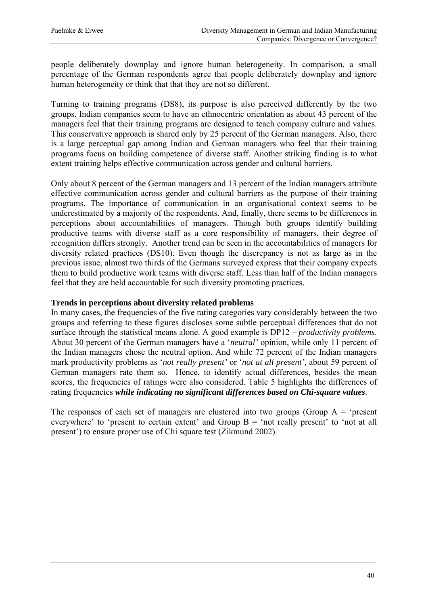people deliberately downplay and ignore human heterogeneity. In comparison, a small percentage of the German respondents agree that people deliberately downplay and ignore human heterogeneity or think that that they are not so different.

Turning to training programs (DS8), its purpose is also perceived differently by the two groups. Indian companies seem to have an ethnocentric orientation as about 43 percent of the managers feel that their training programs are designed to teach company culture and values. This conservative approach is shared only by 25 percent of the German managers. Also, there is a large perceptual gap among Indian and German managers who feel that their training programs focus on building competence of diverse staff. Another striking finding is to what extent training helps effective communication across gender and cultural barriers.

Only about 8 percent of the German managers and 13 percent of the Indian managers attribute effective communication across gender and cultural barriers as the purpose of their training programs. The importance of communication in an organisational context seems to be underestimated by a majority of the respondents. And, finally, there seems to be differences in perceptions about accountabilities of managers. Though both groups identify building productive teams with diverse staff as a core responsibility of managers, their degree of recognition differs strongly. Another trend can be seen in the accountabilities of managers for diversity related practices (DS10). Even though the discrepancy is not as large as in the previous issue, almost two thirds of the Germans surveyed express that their company expects them to build productive work teams with diverse staff. Less than half of the Indian managers feel that they are held accountable for such diversity promoting practices.

### **Trends in perceptions about diversity related problems**

In many cases, the frequencies of the five rating categories vary considerably between the two groups and referring to these figures discloses some subtle perceptual differences that do not surface through the statistical means alone. A good example is DP12 – *productivity problems*. About 30 percent of the German managers have a '*neutral'* opinion, while only 11 percent of the Indian managers chose the neutral option. And while 72 percent of the Indian managers mark productivity problems as '*not really present'* or '*not at all present',* about 59 percent of German managers rate them so. Hence, to identify actual differences, besides the mean scores, the frequencies of ratings were also considered. Table 5 highlights the differences of rating frequencies *while indicating no significant differences based on Chi-square values*.

The responses of each set of managers are clustered into two groups (Group  $A = \text{?present}$ ) everywhere' to 'present to certain extent' and Group  $B =$  'not really present' to 'not at all present') to ensure proper use of Chi square test (Zikmund 2002).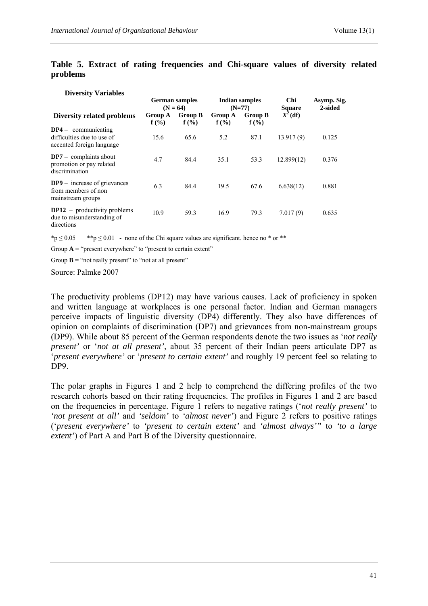**Diversity Variables** 

|                                                                                  | <b>German samples</b><br>$(N = 64)$ |                           | Indian samples<br>$(N=77)$ |                        | Chi<br><b>Square</b> | Asymp. Sig.<br>2-sided |  |
|----------------------------------------------------------------------------------|-------------------------------------|---------------------------|----------------------------|------------------------|----------------------|------------------------|--|
| Diversity related problems                                                       | Group A<br>$f(\%)$                  | <b>Group B</b><br>$f(\%)$ | Group A<br>$f(\%)$         | <b>Group B</b><br>f(%) | $X^2$ (df)           |                        |  |
| $DP4$ – communicating<br>difficulties due to use of<br>accented foreign language | 15.6                                | 65.6                      | 5.2                        | 87.1                   | 13.917(9)            | 0.125                  |  |
| $DP7 -$ complaints about<br>promotion or pay related<br>discrimination           | 4.7                                 | 84.4                      | 35.1                       | 53.3                   | 12.899(12)           | 0.376                  |  |
| $DP9$ – increase of grievances<br>from members of non<br>mainstream groups       | 6.3                                 | 84.4                      | 19.5                       | 67.6                   | 6.638(12)            | 0.881                  |  |
| $DP12$ – productivity problems<br>due to misunderstanding of<br>directions       | 10.9                                | 59.3                      | 16.9                       | 79.3                   | 7.017(9)             | 0.635                  |  |

#### **Table 5. Extract of rating frequencies and Chi-square values of diversity related problems**

\*p  $\leq$  0.05 \*\*p  $\leq$  0.01 - none of the Chi square values are significant. hence no \* or \*\*

Group  $\mathbf{A}$  = "present everywhere" to "present to certain extent"

Group  $\mathbf{B}$  = "not really present" to "not at all present"

Source: Palmke 2007

The productivity problems (DP12) may have various causes. Lack of proficiency in spoken and written language at workplaces is one personal factor. Indian and German managers perceive impacts of linguistic diversity (DP4) differently. They also have differences of opinion on complaints of discrimination (DP7) and grievances from non-mainstream groups (DP9). While about 85 percent of the German respondents denote the two issues as '*not really present'* or '*not at all present',* about 35 percent of their Indian peers articulate DP7 as '*present everywhere'* or '*present to certain extent'* and roughly 19 percent feel so relating to DP9.

The polar graphs in Figures 1 and 2 help to comprehend the differing profiles of the two research cohorts based on their rating frequencies. The profiles in Figures 1 and 2 are based on the frequencies in percentage. Figure 1 refers to negative ratings ('*not really present'* to *'not present at all'* and *'seldom'* to *'almost never'*) and Figure 2 refers to positive ratings ('*present everywhere'* to *'present to certain extent'* and *'almost always'"* to *'to a large extent'*) of Part A and Part B of the Diversity questionnaire.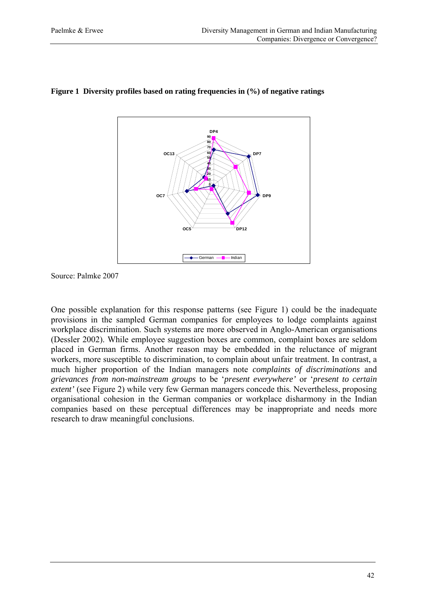

#### **Figure 1 Diversity profiles based on rating frequencies in (%) of negative ratings**

Source: Palmke 2007

One possible explanation for this response patterns (see Figure 1) could be the inadequate provisions in the sampled German companies for employees to lodge complaints against workplace discrimination. Such systems are more observed in Anglo-American organisations (Dessler 2002). While employee suggestion boxes are common, complaint boxes are seldom placed in German firms. Another reason may be embedded in the reluctance of migrant workers, more susceptible to discrimination, to complain about unfair treatment. In contrast, a much higher proportion of the Indian managers note *complaints of discriminations* and *grievances from non-mainstream groups* to be '*present everywhere'* or '*present to certain extent'* (see Figure 2) while very few German managers concede this*.* Nevertheless, proposing organisational cohesion in the German companies or workplace disharmony in the Indian companies based on these perceptual differences may be inappropriate and needs more research to draw meaningful conclusions.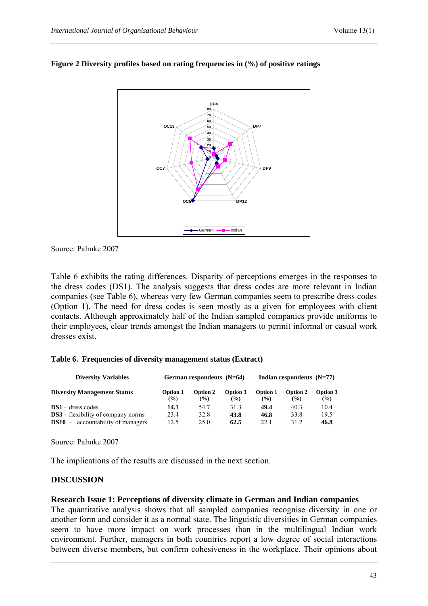

### **Figure 2 Diversity profiles based on rating frequencies in (%) of positive ratings**

Source: Palmke 2007

Table 6 exhibits the rating differences. Disparity of perceptions emerges in the responses to the dress codes (DS1). The analysis suggests that dress codes are more relevant in Indian companies (see Table 6), whereas very few German companies seem to prescribe dress codes (Option 1). The need for dress codes is seen mostly as a given for employees with client contacts. Although approximately half of the Indian sampled companies provide uniforms to their employees, clear trends amongst the Indian managers to permit informal or casual work dresses exist.

### **Table 6. Frequencies of diversity management status (Extract)**

| <b>Diversity Variables</b>                |                 | German respondents $(N=64)$ |          | Indian respondents $(N=77)$ |          |          |
|-------------------------------------------|-----------------|-----------------------------|----------|-----------------------------|----------|----------|
| <b>Diversity Management Status</b>        | <b>Option 1</b> | Option 2                    | Option 3 | <b>Option 1</b>             | Option 2 | Option 3 |
|                                           | $\frac{9}{6}$   | $\frac{9}{6}$               | $($ %)   | $\frac{9}{6}$               | $($ %)   | $($ %)   |
| $DS1 -$ dress codes                       | 14.1            | 54.7                        | 31.3     | 49.4                        | 40.3     | 10.4     |
| <b>DS3</b> – flexibility of company norms | 23.4            | 32.8                        | 43.8     | 46.8                        | 33.8     | 19.5     |
| $DS10 -$ accountability of managers       | 12.5            | 25.0                        | 62.5     | 22.1                        | 31.2     | 46.8     |

Source: Palmke 2007

The implications of the results are discussed in the next section.

# **DISCUSSION**

### **Research Issue 1: Perceptions of diversity climate in German and Indian companies**

The quantitative analysis shows that all sampled companies recognise diversity in one or another form and consider it as a normal state. The linguistic diversities in German companies seem to have more impact on work processes than in the multilingual Indian work environment. Further, managers in both countries report a low degree of social interactions between diverse members, but confirm cohesiveness in the workplace. Their opinions about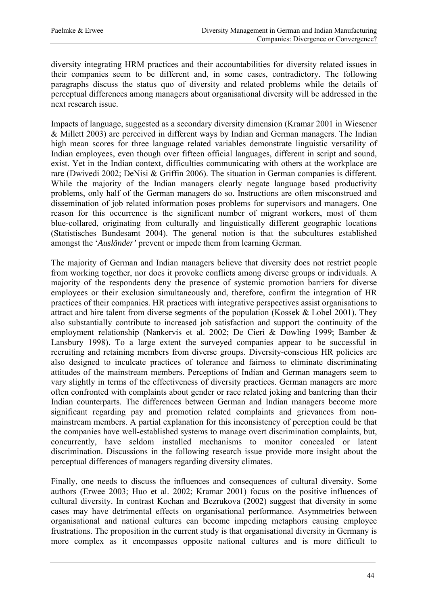diversity integrating HRM practices and their accountabilities for diversity related issues in their companies seem to be different and, in some cases, contradictory. The following paragraphs discuss the status quo of diversity and related problems while the details of perceptual differences among managers about organisational diversity will be addressed in the next research issue.

Impacts of language, suggested as a secondary diversity dimension (Kramar 2001 in Wiesener & Millett 2003) are perceived in different ways by Indian and German managers. The Indian high mean scores for three language related variables demonstrate linguistic versatility of Indian employees, even though over fifteen official languages, different in script and sound, exist. Yet in the Indian context, difficulties communicating with others at the workplace are rare (Dwivedi 2002; DeNisi & Griffin 2006). The situation in German companies is different. While the majority of the Indian managers clearly negate language based productivity problems, only half of the German managers do so. Instructions are often misconstrued and dissemination of job related information poses problems for supervisors and managers. One reason for this occurrence is the significant number of migrant workers, most of them blue-collared, originating from culturally and linguistically different geographic locations (Statistisches Bundesamt 2004). The general notion is that the subcultures established amongst the '*Ausländer'* prevent or impede them from learning German.

The majority of German and Indian managers believe that diversity does not restrict people from working together, nor does it provoke conflicts among diverse groups or individuals. A majority of the respondents deny the presence of systemic promotion barriers for diverse employees or their exclusion simultaneously and, therefore, confirm the integration of HR practices of their companies. HR practices with integrative perspectives assist organisations to attract and hire talent from diverse segments of the population (Kossek & Lobel 2001). They also substantially contribute to increased job satisfaction and support the continuity of the employment relationship (Nankervis et al. 2002; De Cieri & Dowling 1999; Bamber & Lansbury 1998). To a large extent the surveyed companies appear to be successful in recruiting and retaining members from diverse groups. Diversity-conscious HR policies are also designed to inculcate practices of tolerance and fairness to eliminate discriminating attitudes of the mainstream members. Perceptions of Indian and German managers seem to vary slightly in terms of the effectiveness of diversity practices. German managers are more often confronted with complaints about gender or race related joking and bantering than their Indian counterparts. The differences between German and Indian managers become more significant regarding pay and promotion related complaints and grievances from nonmainstream members. A partial explanation for this inconsistency of perception could be that the companies have well-established systems to manage overt discrimination complaints, but, concurrently, have seldom installed mechanisms to monitor concealed or latent discrimination. Discussions in the following research issue provide more insight about the perceptual differences of managers regarding diversity climates.

Finally, one needs to discuss the influences and consequences of cultural diversity. Some authors (Erwee 2003; Huo et al. 2002; Kramar 2001) focus on the positive influences of cultural diversity. In contrast Kochan and Bezrukova (2002) suggest that diversity in some cases may have detrimental effects on organisational performance. Asymmetries between organisational and national cultures can become impeding metaphors causing employee frustrations. The proposition in the current study is that organisational diversity in Germany is more complex as it encompasses opposite national cultures and is more difficult to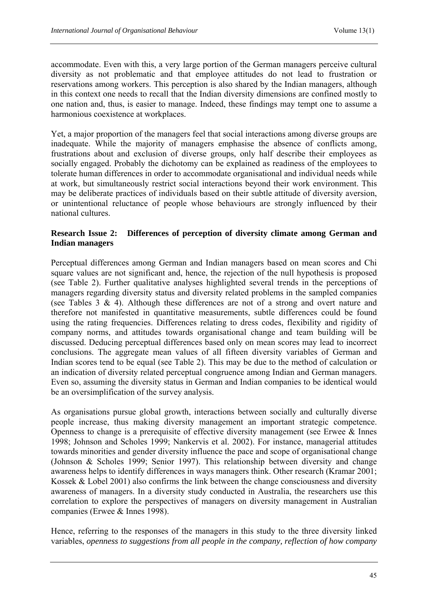accommodate. Even with this, a very large portion of the German managers perceive cultural diversity as not problematic and that employee attitudes do not lead to frustration or reservations among workers. This perception is also shared by the Indian managers, although in this context one needs to recall that the Indian diversity dimensions are confined mostly to one nation and, thus, is easier to manage. Indeed, these findings may tempt one to assume a harmonious coexistence at workplaces.

Yet, a major proportion of the managers feel that social interactions among diverse groups are inadequate. While the majority of managers emphasise the absence of conflicts among, frustrations about and exclusion of diverse groups, only half describe their employees as socially engaged. Probably the dichotomy can be explained as readiness of the employees to tolerate human differences in order to accommodate organisational and individual needs while at work, but simultaneously restrict social interactions beyond their work environment. This may be deliberate practices of individuals based on their subtle attitude of diversity aversion, or unintentional reluctance of people whose behaviours are strongly influenced by their national cultures.

# **Research Issue 2: Differences of perception of diversity climate among German and Indian managers**

Perceptual differences among German and Indian managers based on mean scores and Chi square values are not significant and, hence, the rejection of the null hypothesis is proposed (see Table 2). Further qualitative analyses highlighted several trends in the perceptions of managers regarding diversity status and diversity related problems in the sampled companies (see Tables 3 & 4). Although these differences are not of a strong and overt nature and therefore not manifested in quantitative measurements, subtle differences could be found using the rating frequencies. Differences relating to dress codes, flexibility and rigidity of company norms, and attitudes towards organisational change and team building will be discussed. Deducing perceptual differences based only on mean scores may lead to incorrect conclusions. The aggregate mean values of all fifteen diversity variables of German and Indian scores tend to be equal (see Table 2). This may be due to the method of calculation or an indication of diversity related perceptual congruence among Indian and German managers. Even so, assuming the diversity status in German and Indian companies to be identical would be an oversimplification of the survey analysis.

As organisations pursue global growth, interactions between socially and culturally diverse people increase, thus making diversity management an important strategic competence. Openness to change is a prerequisite of effective diversity management (see Erwee & Innes 1998; Johnson and Scholes 1999; Nankervis et al. 2002). For instance, managerial attitudes towards minorities and gender diversity influence the pace and scope of organisational change (Johnson & Scholes 1999; Senior 1997). This relationship between diversity and change awareness helps to identify differences in ways managers think. Other research (Kramar 2001; Kossek & Lobel 2001) also confirms the link between the change consciousness and diversity awareness of managers. In a diversity study conducted in Australia, the researchers use this correlation to explore the perspectives of managers on diversity management in Australian companies (Erwee & Innes 1998).

Hence, referring to the responses of the managers in this study to the three diversity linked variables, *openness to suggestions from all people in the company, reflection of how company*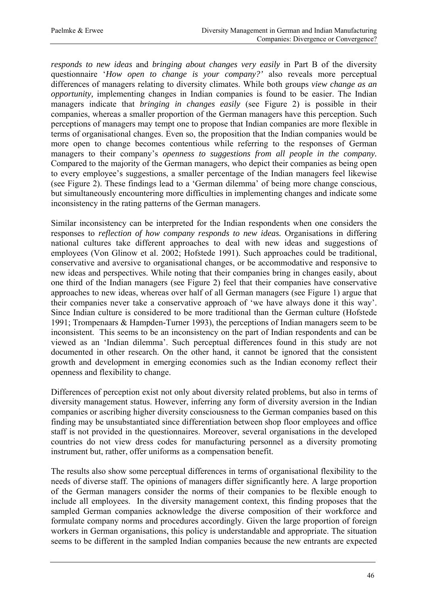*responds to new ideas* and *bringing about changes very easily* in Part B of the diversity questionnaire '*How open to change is your company?'* also reveals more perceptual differences of managers relating to diversity climates. While both groups *view change as an opportunity,* implementing changes in Indian companies is found to be easier. The Indian managers indicate that *bringing in changes easily* (see Figure 2) is possible in their companies, whereas a smaller proportion of the German managers have this perception. Such perceptions of managers may tempt one to propose that Indian companies are more flexible in terms of organisational changes. Even so, the proposition that the Indian companies would be more open to change becomes contentious while referring to the responses of German managers to their company's *openness to suggestions from all people in the company.*  Compared to the majority of the German managers, who depict their companies as being open to every employee's suggestions, a smaller percentage of the Indian managers feel likewise (see Figure 2). These findings lead to a 'German dilemma' of being more change conscious, but simultaneously encountering more difficulties in implementing changes and indicate some inconsistency in the rating patterns of the German managers.

Similar inconsistency can be interpreted for the Indian respondents when one considers the responses to *reflection of how company responds to new ideas.* Organisations in differing national cultures take different approaches to deal with new ideas and suggestions of employees (Von Glinow et al. 2002; Hofstede 1991). Such approaches could be traditional, conservative and aversive to organisational changes, or be accommodative and responsive to new ideas and perspectives. While noting that their companies bring in changes easily, about one third of the Indian managers (see Figure 2) feel that their companies have conservative approaches to new ideas, whereas over half of all German managers (see Figure 1) argue that their companies never take a conservative approach of 'we have always done it this way'. Since Indian culture is considered to be more traditional than the German culture (Hofstede 1991; Trompenaars & Hampden-Turner 1993), the perceptions of Indian managers seem to be inconsistent. This seems to be an inconsistency on the part of Indian respondents and can be viewed as an 'Indian dilemma'. Such perceptual differences found in this study are not documented in other research. On the other hand, it cannot be ignored that the consistent growth and development in emerging economies such as the Indian economy reflect their openness and flexibility to change.

Differences of perception exist not only about diversity related problems, but also in terms of diversity management status. However, inferring any form of diversity aversion in the Indian companies or ascribing higher diversity consciousness to the German companies based on this finding may be unsubstantiated since differentiation between shop floor employees and office staff is not provided in the questionnaires. Moreover, several organisations in the developed countries do not view dress codes for manufacturing personnel as a diversity promoting instrument but, rather, offer uniforms as a compensation benefit.

The results also show some perceptual differences in terms of organisational flexibility to the needs of diverse staff. The opinions of managers differ significantly here. A large proportion of the German managers consider the norms of their companies to be flexible enough to include all employees. In the diversity management context, this finding proposes that the sampled German companies acknowledge the diverse composition of their workforce and formulate company norms and procedures accordingly. Given the large proportion of foreign workers in German organisations, this policy is understandable and appropriate. The situation seems to be different in the sampled Indian companies because the new entrants are expected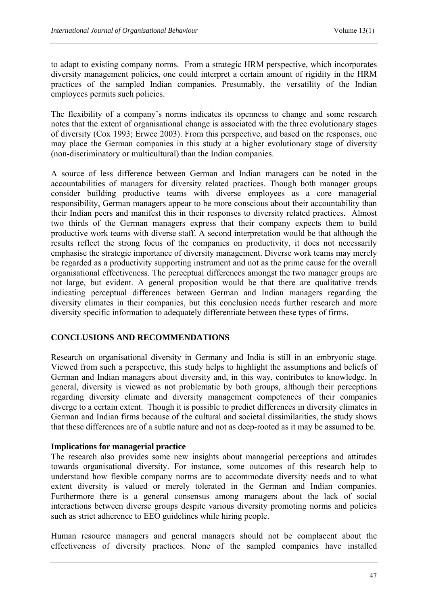to adapt to existing company norms. From a strategic HRM perspective, which incorporates diversity management policies, one could interpret a certain amount of rigidity in the HRM practices of the sampled Indian companies. Presumably, the versatility of the Indian employees permits such policies.

The flexibility of a company's norms indicates its openness to change and some research notes that the extent of organisational change is associated with the three evolutionary stages of diversity (Cox 1993; Erwee 2003). From this perspective, and based on the responses, one may place the German companies in this study at a higher evolutionary stage of diversity (non-discriminatory or multicultural) than the Indian companies.

A source of less difference between German and Indian managers can be noted in the accountabilities of managers for diversity related practices. Though both manager groups consider building productive teams with diverse employees as a core managerial responsibility, German managers appear to be more conscious about their accountability than their Indian peers and manifest this in their responses to diversity related practices. Almost two thirds of the German managers express that their company expects them to build productive work teams with diverse staff. A second interpretation would be that although the results reflect the strong focus of the companies on productivity, it does not necessarily emphasise the strategic importance of diversity management. Diverse work teams may merely be regarded as a productivity supporting instrument and not as the prime cause for the overall organisational effectiveness. The perceptual differences amongst the two manager groups are not large, but evident. A general proposition would be that there are qualitative trends indicating perceptual differences between German and Indian managers regarding the diversity climates in their companies, but this conclusion needs further research and more diversity specific information to adequately differentiate between these types of firms.

# **CONCLUSIONS AND RECOMMENDATIONS**

Research on organisational diversity in Germany and India is still in an embryonic stage. Viewed from such a perspective, this study helps to highlight the assumptions and beliefs of German and Indian managers about diversity and, in this way, contributes to knowledge. In general, diversity is viewed as not problematic by both groups, although their perceptions regarding diversity climate and diversity management competences of their companies diverge to a certain extent. Though it is possible to predict differences in diversity climates in German and Indian firms because of the cultural and societal dissimilarities, the study shows that these differences are of a subtle nature and not as deep-rooted as it may be assumed to be.

# **Implications for managerial practice**

The research also provides some new insights about managerial perceptions and attitudes towards organisational diversity. For instance, some outcomes of this research help to understand how flexible company norms are to accommodate diversity needs and to what extent diversity is valued or merely tolerated in the German and Indian companies. Furthermore there is a general consensus among managers about the lack of social interactions between diverse groups despite various diversity promoting norms and policies such as strict adherence to EEO guidelines while hiring people.

Human resource managers and general managers should not be complacent about the effectiveness of diversity practices. None of the sampled companies have installed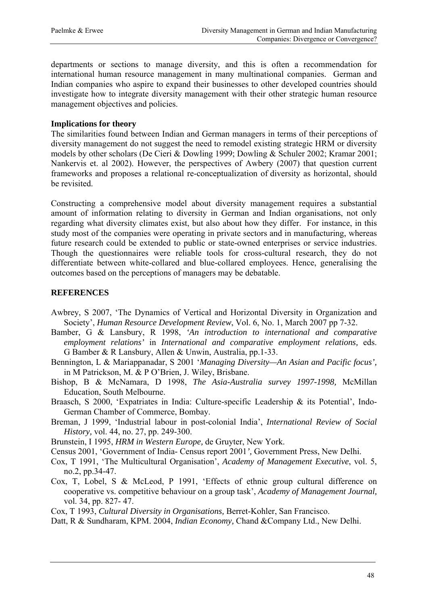departments or sections to manage diversity, and this is often a recommendation for international human resource management in many multinational companies. German and Indian companies who aspire to expand their businesses to other developed countries should investigate how to integrate diversity management with their other strategic human resource management objectives and policies.

### **Implications for theory**

The similarities found between Indian and German managers in terms of their perceptions of diversity management do not suggest the need to remodel existing strategic HRM or diversity models by other scholars (De Cieri & Dowling 1999; Dowling & Schuler 2002; Kramar 2001; Nankervis et. al 2002). However, the perspectives of Awbery (2007) that question current frameworks and proposes a relational re-conceptualization of diversity as horizontal, should be revisited.

Constructing a comprehensive model about diversity management requires a substantial amount of information relating to diversity in German and Indian organisations, not only regarding what diversity climates exist, but also about how they differ. For instance, in this study most of the companies were operating in private sectors and in manufacturing, whereas future research could be extended to public or state-owned enterprises or service industries. Though the questionnaires were reliable tools for cross-cultural research, they do not differentiate between white-collared and blue-collared employees. Hence, generalising the outcomes based on the perceptions of managers may be debatable.

# **REFERENCES**

- Awbrey, S 2007, 'The Dynamics of Vertical and Horizontal Diversity in Organization and Society', *Human Resource Development Review*, Vol. 6, No. 1, March 2007 pp 7-32.
- Bamber, G & Lansbury, R 1998, *'An introduction to international and comparative employment relations'* in *International and comparative employment relations,* eds. G Bamber & R Lansbury, Allen & Unwin, Australia, pp.1-33.
- Bennington, L & Mariappanadar, S 2001 '*Managing Diversity—An Asian and Pacific focus',*  in M Patrickson, M. & P O'Brien, J. Wiley, Brisbane.
- Bishop, B & McNamara, D 1998, *The Asia-Australia survey 1997-1998,* McMillan Education, South Melbourne.
- Braasch, S 2000, 'Expatriates in India: Culture-specific Leadership & its Potential', Indo-German Chamber of Commerce, Bombay.
- Breman, J 1999, 'Industrial labour in post-colonial India', *International Review of Social History,* vol. 44, no. 27, pp. 249-300.
- Brunstein, I 1995, *HRM in Western Europe,* de Gruyter, New York.
- Census 2001, 'Government of India- Census report 2001*',* Government Press, New Delhi.
- Cox, T 1991, 'The Multicultural Organisation', *Academy of Management Executive*, vol. 5, no.2, pp.34-47.
- Cox, T, Lobel, S & McLeod, P 1991, 'Effects of ethnic group cultural difference on cooperative vs. competitive behaviour on a group task', *Academy of Management Journal,* vol. 34, pp. 827- 47.
- Cox, T 1993, *Cultural Diversity in Organisations,* Berret-Kohler, San Francisco.
- Datt, R & Sundharam, KPM. 2004, *Indian Economy,* Chand &Company Ltd., New Delhi.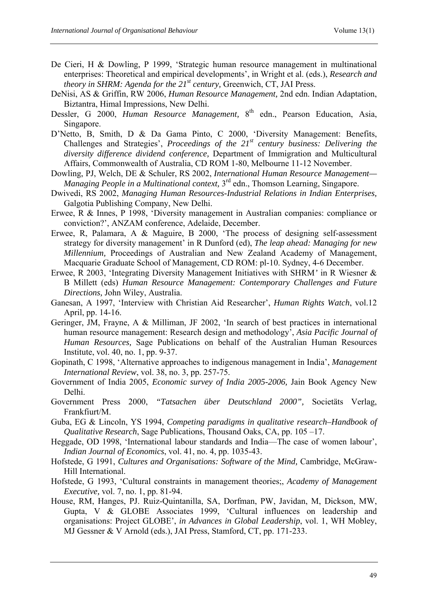- De Cieri, H & Dowling, P 1999, 'Strategic human resource management in multinational enterprises: Theoretical and empirical developments', in Wright et al. (eds.), *Research and theory in SHRM: Agenda for the 21st century,* Greenwich, CT, JAI Press.
- DeNisi, AS & Griffin, RW 2006, *Human Resource Management,* 2nd edn. Indian Adaptation, Biztantra, Himal Impressions, New Delhi.
- Dessler, G 2000, *Human Resource Management*, 8<sup>th</sup> edn., Pearson Education, Asia, Singapore.
- D'Netto, B, Smith, D & Da Gama Pinto, C 2000, 'Diversity Management: Benefits, Challenges and Strategies', *Proceedings of the 21st century business: Delivering the diversity difference dividend conference,* Department of Immigration and Multicultural Affairs, Commonwealth of Australia, CD ROM 1-80, Melbourne 11-12 November.
- Dowling, PJ, Welch, DE & Schuler, RS 2002, *International Human Resource Management— Managing People in a Multinational context*, 3<sup>rd</sup> edn., Thomson Learning, Singapore.
- Dwivedi, RS 2002, *Managing Human Resources-Industrial Relations in Indian Enterprises,*  Galgotia Publishing Company, New Delhi.
- Erwee, R & Innes, P 1998, 'Diversity management in Australian companies: compliance or conviction?', ANZAM conference, Adelaide, December.
- Erwee, R, Palamara, A & Maguire, B 2000, 'The process of designing self-assessment strategy for diversity management' in R Dunford (ed), *The leap ahead: Managing for new Millennium,* Proceedings of Australian and New Zealand Academy of Management, Macquarie Graduate School of Management, CD ROM: pl-10. Sydney, 4-6 December.
- Erwee, R 2003, 'Integrating Diversity Management Initiatives with SHRM*'* in R Wiesner & B Millett (eds) *Human Resource Management: Contemporary Challenges and Future Directions,* John Wiley, Australia.
- Ganesan, A 1997, 'Interview with Christian Aid Researcher', *Human Rights Watch*, vol.12 April, pp. 14-16.
- Geringer, JM, Frayne, A & Milliman, JF 2002, 'In search of best practices in international human resource management: Research design and methodology', *Asia Pacific Journal of Human Resources,* Sage Publications on behalf of the Australian Human Resources Institute, vol. 40, no. 1, pp. 9-37.
- Gopinath, C 1998, 'Alternative approaches to indigenous management in India', *Management International Review*, vol. 38, no. 3, pp. 257-75.
- Government of India 2005, *Economic survey of India 2005-2006,* Jain Book Agency New Delhi.
- Government Press 2000, *"Tatsachen über Deutschland 2000",* Societäts Verlag, Frankfiurt/M.
- Guba, EG & Lincoln, YS 1994, *Competing paradigms in qualitative research–Handbook of Qualitative Research*, Sage Publications, Thousand Oaks, CA, pp. 105 –17.
- Heggade, OD 1998, 'International labour standards and India—The case of women labour', *Indian Journal of Economics*, vol. 41, no. 4, pp. 1035-43.
- Hofstede, G 1991, *Cultures and Organisations: Software of the Mind,* Cambridge, McGraw-Hill International.
- Hofstede, G 1993, 'Cultural constraints in management theories;, *Academy of Management Executive,* vol. 7, no. 1, pp. 81-94.
- House, RM, Hanges, PJ. Ruiz-Quintanilla, SA, Dorfman, PW, Javidan, M, Dickson, MW, Gupta, V & GLOBE Associates 1999, 'Cultural influences on leadership and organisations: Project GLOBE', *in Advances in Global Leadership*, vol. 1, WH Mobley, MJ Gessner & V Arnold (eds.), JAI Press, Stamford, CT, pp. 171-233.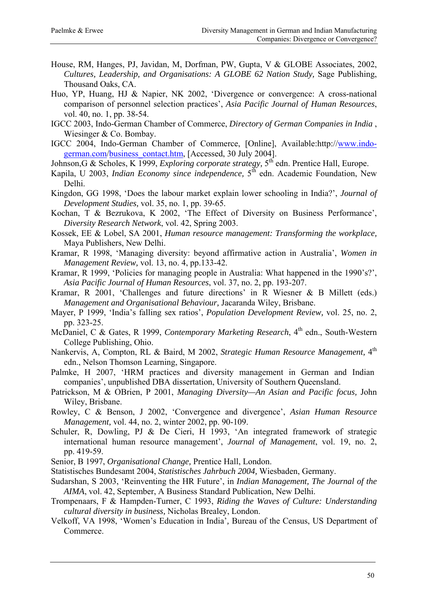- House, RM, Hanges, PJ, Javidan, M, Dorfman, PW, Gupta, V & GLOBE Associates, 2002, *Cultures, Leadership, and Organisations: A GLOBE 62 Nation Study,* Sage Publishing, Thousand Oaks, CA.
- Huo, YP, Huang, HJ & Napier, NK 2002, 'Divergence or convergence: A cross-national comparison of personnel selection practices', *Asia Pacific Journal of Human Resources*, vol. 40, no. 1, pp. 38-54.
- IGCC 2003, Indo-German Chamber of Commerce, *Directory of German Companies in India* , Wiesinger & Co. Bombay.
- IGCC 2004, Indo-German Chamber of Commerce, [Online], Available:http:/[/www.indo](http://www.indo-german.com/)[german.com/](http://www.indo-german.com/)business\_contact.htm, [Accessed, 30 July 2004].
- Johnson,G & Scholes, K 1999, *Exploring corporate strategy*, 5<sup>th</sup> edn. Prentice Hall, Europe.
- Kapila, U 2003, *Indian Economy since independence*, 5<sup>th</sup> edn. Academic Foundation, New Delhi.
- Kingdon, GG 1998, 'Does the labour market explain lower schooling in India?', *Journal of Development Studies,* vol. 35, no. 1, pp. 39-65.
- Kochan, T & Bezrukova, K 2002, 'The Effect of Diversity on Business Performance', *Diversity Research Network*, vol. 42, Spring 2003.
- Kossek, EE & Lobel, SA 2001, *Human resource management: Transforming the workplace,*  Maya Publishers, New Delhi.
- Kramar, R 1998, 'Managing diversity: beyond affirmative action in Australia', *Women in Management Review,* vol. 13, no. 4, pp.133-42.
- Kramar, R 1999, 'Policies for managing people in Australia: What happened in the 1990's?', *Asia Pacific Journal of Human Resources*, vol. 37, no. 2, pp. 193-207.
- Kramar, R 2001, 'Challenges and future directions' in R Wiesner & B Millett (eds.) *Management and Organisational Behaviour,* Jacaranda Wiley, Brisbane.
- Mayer, P 1999, 'India's falling sex ratios', *Population Development Review,* vol. 25, no. 2, pp. 323-25.
- McDaniel, C & Gates, R 1999, *Contemporary Marketing Research*, 4<sup>th</sup> edn., South-Western College Publishing, Ohio.
- Nankervis, A, Compton, RL & Baird, M 2002, *Strategic Human Resource Management,* 4th edn., Nelson Thomson Learning, Singapore.
- Palmke, H 2007, 'HRM practices and diversity management in German and Indian companies', unpublished DBA dissertation, University of Southern Queensland.
- Patrickson, M & OBrien, P 2001, *Managing Diversity—An Asian and Pacific focus,* John Wiley, Brisbane.
- Rowley, C & Benson, J 2002, 'Convergence and divergence', *Asian Human Resource Management,* vol. 44, no. 2, winter 2002, pp. 90-109.
- Schuler, R, Dowling, PJ & De Cieri, H 1993, 'An integrated framework of strategic international human resource management', *Journal of Management*, vol. 19, no. 2, pp. 419-59.
- Senior, B 1997, *Organisational Change,* Prentice Hall, London.
- Statistisches Bundesamt 2004, *Statistisches Jahrbuch 2004,* Wiesbaden, Germany.
- Sudarshan, S 2003, 'Reinventing the HR Future', in *Indian Management, The Journal of the AIMA*, vol. 42, September, A Business Standard Publication, New Delhi.
- Trompenaars, F & Hampden-Turner, C 1993, *Riding the Waves of Culture: Understanding cultural diversity in business,* Nicholas Brealey, London.
- Velkoff, VA 1998, 'Women's Education in India'*,* Bureau of the Census, US Department of Commerce.